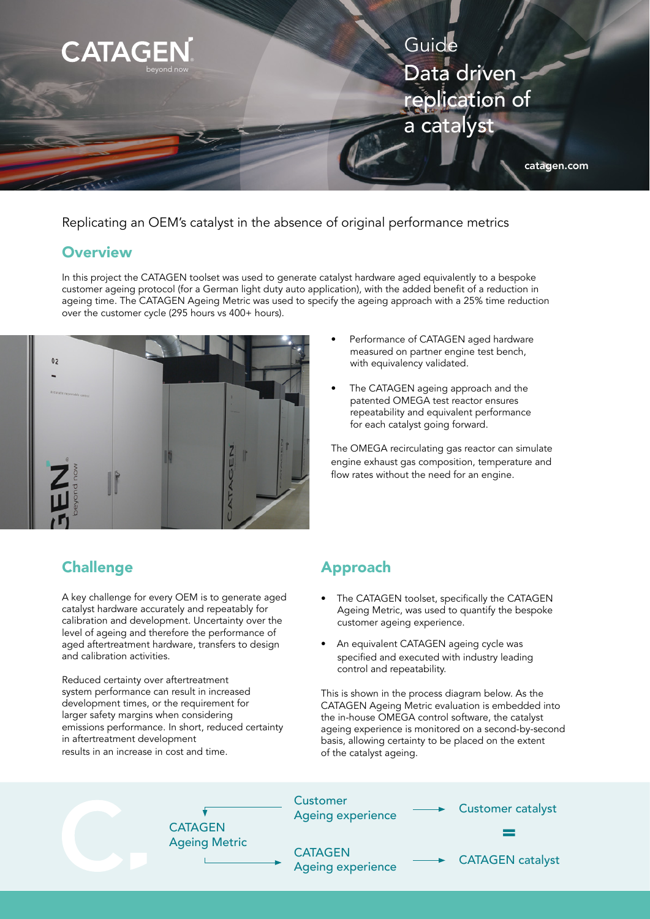

Replicating an OEM's catalyst in the absence of original performance metrics

### **Overview**

In this project the CATAGEN toolset was used to generate catalyst hardware aged equivalently to a bespoke customer ageing protocol (for a German light duty auto application), with the added benefit of a reduction in ageing time. The CATAGEN Ageing Metric was used to specify the ageing approach with a 25% time reduction over the customer cycle (295 hours vs 400+ hours).



- Performance of CATAGEN aged hardware measured on partner engine test bench, with equivalency validated.
- The CATAGEN ageing approach and the patented OMEGA test reactor ensures repeatability and equivalent performance for each catalyst going forward.

The OMEGA recirculating gas reactor can simulate engine exhaust gas composition, temperature and flow rates without the need for an engine.

# Challenge **Approach**

A key challenge for every OEM is to generate aged catalyst hardware accurately and repeatably for calibration and development. Uncertainty over the level of ageing and therefore the performance of aged aftertreatment hardware, transfers to design and calibration activities.

Reduced certainty over aftertreatment system performance can result in increased development times, or the requirement for larger safety margins when considering emissions performance. In short, reduced certainty in aftertreatment development results in an increase in cost and time.

- The CATAGEN toolset, specifically the CATAGEN Ageing Metric, was used to quantify the bespoke customer ageing experience.
- An equivalent CATAGEN ageing cycle was specified and executed with industry leading control and repeatability.

This is shown in the process diagram below. As the CATAGEN Ageing Metric evaluation is embedded into the in-house OMEGA control software, the catalyst ageing experience is monitored on a second-by-second basis, allowing certainty to be placed on the extent of the catalyst ageing.